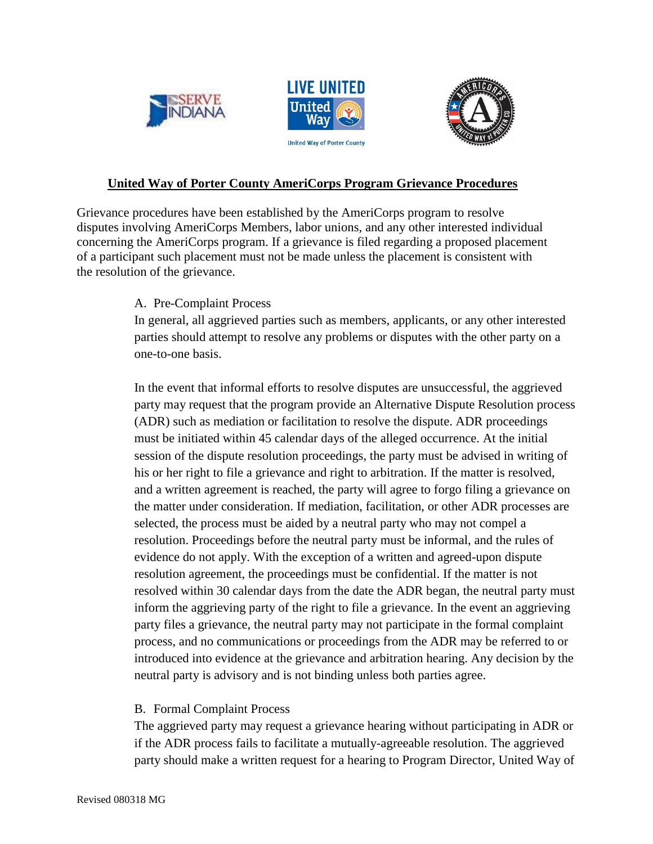





# **United Way of Porter County AmeriCorps Program Grievance Procedures**

Grievance procedures have been established by the AmeriCorps program to resolve disputes involving AmeriCorps Members, labor unions, and any other interested individual concerning the AmeriCorps program. If a grievance is filed regarding a proposed placement of a participant such placement must not be made unless the placement is consistent with the resolution of the grievance.

# A. Pre-Complaint Process

In general, all aggrieved parties such as members, applicants, or any other interested parties should attempt to resolve any problems or disputes with the other party on a one-to-one basis.

In the event that informal efforts to resolve disputes are unsuccessful, the aggrieved party may request that the program provide an Alternative Dispute Resolution process (ADR) such as mediation or facilitation to resolve the dispute. ADR proceedings must be initiated within 45 calendar days of the alleged occurrence. At the initial session of the dispute resolution proceedings, the party must be advised in writing of his or her right to file a grievance and right to arbitration. If the matter is resolved, and a written agreement is reached, the party will agree to forgo filing a grievance on the matter under consideration. If mediation, facilitation, or other ADR processes are selected, the process must be aided by a neutral party who may not compel a resolution. Proceedings before the neutral party must be informal, and the rules of evidence do not apply. With the exception of a written and agreed-upon dispute resolution agreement, the proceedings must be confidential. If the matter is not resolved within 30 calendar days from the date the ADR began, the neutral party must inform the aggrieving party of the right to file a grievance. In the event an aggrieving party files a grievance, the neutral party may not participate in the formal complaint process, and no communications or proceedings from the ADR may be referred to or introduced into evidence at the grievance and arbitration hearing. Any decision by the neutral party is advisory and is not binding unless both parties agree.

# B. Formal Complaint Process

The aggrieved party may request a grievance hearing without participating in ADR or if the ADR process fails to facilitate a mutually-agreeable resolution. The aggrieved party should make a written request for a hearing to Program Director, United Way of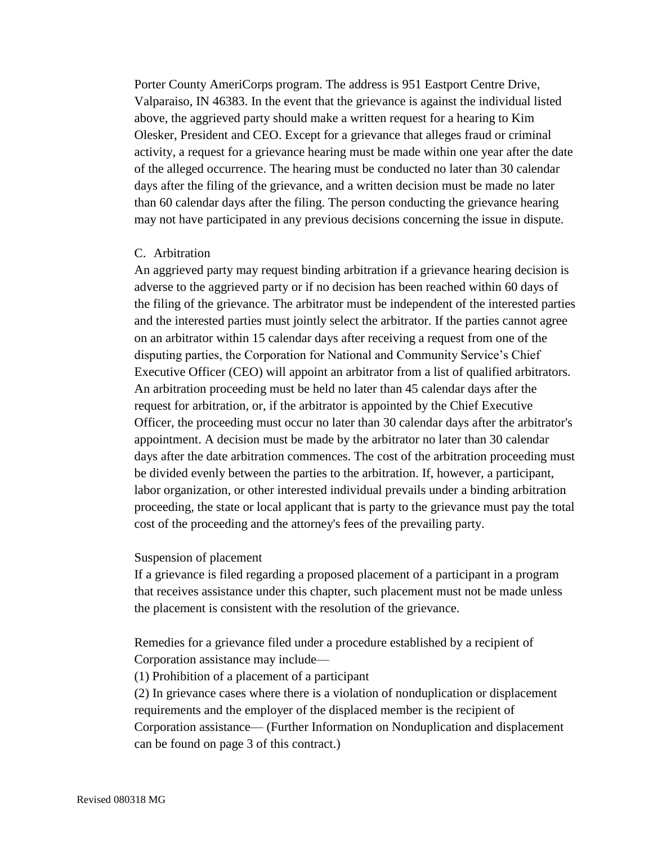Porter County AmeriCorps program. The address is 951 Eastport Centre Drive, Valparaiso, IN 46383. In the event that the grievance is against the individual listed above, the aggrieved party should make a written request for a hearing to Kim Olesker, President and CEO. Except for a grievance that alleges fraud or criminal activity, a request for a grievance hearing must be made within one year after the date of the alleged occurrence. The hearing must be conducted no later than 30 calendar days after the filing of the grievance, and a written decision must be made no later than 60 calendar days after the filing. The person conducting the grievance hearing may not have participated in any previous decisions concerning the issue in dispute.

### C. Arbitration

An aggrieved party may request binding arbitration if a grievance hearing decision is adverse to the aggrieved party or if no decision has been reached within 60 days of the filing of the grievance. The arbitrator must be independent of the interested parties and the interested parties must jointly select the arbitrator. If the parties cannot agree on an arbitrator within 15 calendar days after receiving a request from one of the disputing parties, the Corporation for National and Community Service's Chief Executive Officer (CEO) will appoint an arbitrator from a list of qualified arbitrators. An arbitration proceeding must be held no later than 45 calendar days after the request for arbitration, or, if the arbitrator is appointed by the Chief Executive Officer, the proceeding must occur no later than 30 calendar days after the arbitrator's appointment. A decision must be made by the arbitrator no later than 30 calendar days after the date arbitration commences. The cost of the arbitration proceeding must be divided evenly between the parties to the arbitration. If, however, a participant, labor organization, or other interested individual prevails under a binding arbitration proceeding, the state or local applicant that is party to the grievance must pay the total cost of the proceeding and the attorney's fees of the prevailing party.

### Suspension of placement

If a grievance is filed regarding a proposed placement of a participant in a program that receives assistance under this chapter, such placement must not be made unless the placement is consistent with the resolution of the grievance.

Remedies for a grievance filed under a procedure established by a recipient of Corporation assistance may include—

(1) Prohibition of a placement of a participant

(2) In grievance cases where there is a violation of nonduplication or displacement requirements and the employer of the displaced member is the recipient of Corporation assistance— (Further Information on Nonduplication and displacement can be found on page 3 of this contract.)